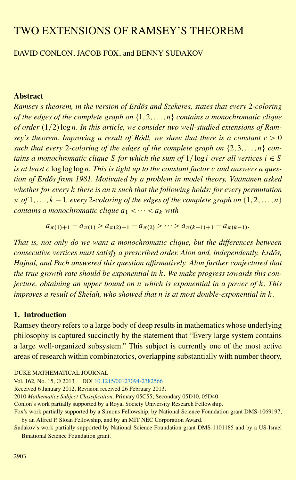# TWO EXTENSIONS OF RAMSEY'S THEOREM

## DAVID CONLON, JACOB FOX, and BENNY SUDAKOV

## **Abstract**

*Ramsey's theorem, in the version of Erd˝os and Szekeres, states that every* 2*-coloring of the edges of the complete graph on*  $\{1, 2, \ldots, n\}$  *contains a monochromatic clique* of order (1/2)  $\log n$ . In this article, we consider two well-studied extensions of Ram*sey's theorem. Improving a result of Rödl, we show that there is a constant*  $c > 0$ *such that every* 2-*coloring of the edges of the complete graph on*  $\{2, 3, \ldots, n\}$  *contains a monochromatic clique* S *for which the sum of*  $1/\log i$  *over all vertices*  $i \in S$ *is at least* c log log logn*. This is tight up to the constant factor* c *and answers a question of Erd˝os from 1981. Motivated by a problem in model theory, Väänänen asked whether for every* k *there is an* n *such that the following holds: for every permutation*  $\pi$  of  $1, \ldots, k-1$ , every 2-coloring of the edges of the complete graph on  $\{1, 2, \ldots, n\}$ *contains a monochromatic clique*  $a_1 < \cdots < a_k$  *with* 

$$
a_{\pi(1)+1} - a_{\pi(1)} > a_{\pi(2)+1} - a_{\pi(2)} > \cdots > a_{\pi(k-1)+1} - a_{\pi(k-1)}.
$$

*That is, not only do we want a monochromatic clique, but the differences between consecutive vertices must satisfy a prescribed order. Alon and, independently, Erdős, Hajnal, and Pach answered this question affirmatively. Alon further conjectured that the true growth rate should be exponential in* k*. We make progress towards this conjecture, obtaining an upper bound on* n *which is exponential in a power of* k*. This improves a result of Shelah, who showed that* n *is at most double-exponential in* k*.*

## **1. Introduction**

Ramsey theory refers to a large body of deep results in mathematics whose underlying philosophy is captured succinctly by the statement that "Every large system contains a large well-organized subsystem." This subject is currently one of the most active areas of research within combinatorics, overlapping substantially with number theory,

DUKE MATHEMATICAL JOURNAL

Vol. 162, No. 15, © 2013 DOI [10.1215/00127094-2382566](http://dx.doi.org/10.1215/00127094-2382566)

Received 6 January 2012. Revision received 26 February 2013.

2010 *Mathematics Subject Classification*. Primary 05C55; Secondary 05D10, 05D40.

Conlon's work partially supported by a Royal Society University Research Fellowship.

Sudakov's work partially supported by National Science Foundation grant DMS-1101185 and by a US-Israel Binational Science Foundation grant.

Fox's work partially supported by a Simons Fellowship, by National Science Foundation grant DMS-1069197, by an Alfred P. Sloan Fellowship, and by an MIT NEC Corporation Award.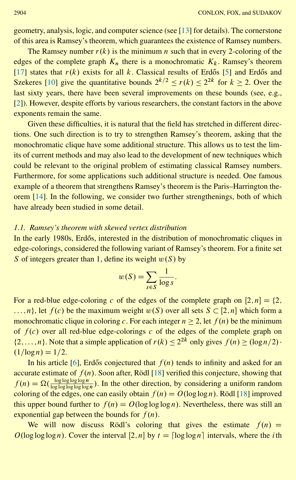<span id="page-1-0"></span>geometry, analysis, logic, and computer science (see [\[13\]](#page-24-0) for details). The cornerstone of this area is Ramsey's theorem, which guarantees the existence of Ramsey numbers.

The Ramsey number  $r(k)$  is the minimum n such that in every 2-coloring of the edges of the complete graph  $K_n$  there is a monochromatic  $K_k$ . Ramsey's theorem [\[17\]](#page-24-1) states that  $r(k)$  exists for all k. Classical results of Erdős [[5](#page-23-0)] and Erdős and Szekeres [\[10](#page-23-1)] give the quantitative bounds  $2^{k/2} < r(k) < 2^{2k}$  for  $k > 2$ . Over the last sixty years, there have been several improvements on these bounds (see, e.g., [\[2](#page-23-2)]). However, despite efforts by various researchers, the constant factors in the above exponents remain the same.

Given these difficulties, it is natural that the field has stretched in different directions. One such direction is to try to strengthen Ramsey's theorem, asking that the monochromatic clique have some additional structure. This allows us to test the limits of current methods and may also lead to the development of new techniques which could be relevant to the original problem of estimating classical Ramsey numbers. Furthermore, for some applications such additional structure is needed. One famous example of a theorem that strengthens Ramsey's theorem is the Paris–Harrington theorem [\[14\]](#page-24-2). In the following, we consider two further strengthenings, both of which have already been studied in some detail.

## *1.1. Ramsey's theorem with skewed vertex distribution*

In the early 1980s, Erdős, interested in the distribution of monochromatic cliques in edge-colorings, considered the following variant of Ramsey's theorem. For a finite set S of integers greater than 1, define its weight  $w(S)$  by

$$
w(S) = \sum_{s \in S} \frac{1}{\log s}.
$$

For a red-blue edge-coloring c of the edges of the complete graph on  $[2,n] = \{2,$  $...,n$ , let  $f(c)$  be the maximum weight  $w(S)$  over all sets  $S \subset [2,n]$  which form a monochromatic clique in coloring c. For each integer  $n > 2$ , let  $f(n)$  be the minimum of  $f(c)$  over all red-blue edge-colorings c of the edges of the complete graph on  $\{2,\ldots,n\}$ . Note that a simple application of  $r(k) < 2^{2k}$  only gives  $f(n) > \log n/2$ .  $(1/\log n) = 1/2.$ 

In his article [\[6](#page-23-3)], Erdős conjectured that  $f(n)$  tends to infinity and asked for an accurate estimate of  $f(n)$ . Soon after, Rödl [\[18](#page-24-3)] verified this conjecture, showing that  $f(n) = \Omega(\frac{\log \log \log \log n}{\log \log \log \log \log n})$ . In the other direction, by considering a uniform random coloring of the edges, one can easily obtain  $f(n) = O(\log \log n)$ . Rödl [\[18](#page-24-3)] improved this upper bound further to  $f(n) = O(\log \log \log n)$ . Nevertheless, there was still an exponential gap between the bounds for  $f(n)$ .

We will now discuss Rödl's coloring that gives the estimate  $f(n)$  =  $O(\log \log \log n)$ . Cover the interval [2, n] by  $t = \lceil \log \log n \rceil$  intervals, where the *i*th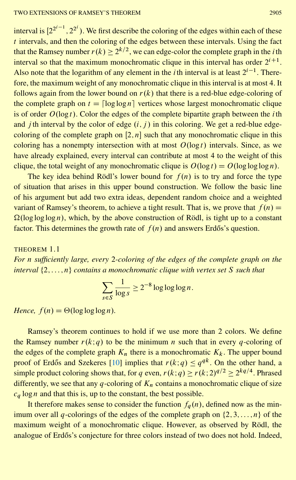<span id="page-2-1"></span>interval is  $[2^{2^{i-1}}, 2^{2^i})$ . We first describe the coloring of the edges within each of these  $t$  intervals, and then the coloring of the edges between these intervals. Using the fact that the Ramsey number  $r(k) \geq 2^{k/2}$ , we can edge-color the complete graph in the *i*th interval so that the maximum monochromatic clique in this interval has order  $2^{i+1}$ . Also note that the logarithm of any element in the *i*th interval is at least  $2^{i-1}$ . Therefore, the maximum weight of any monochromatic clique in this interval is at most 4. It follows again from the lower bound on  $r(k)$  that there is a red-blue edge-coloring of the complete graph on  $t = \lceil \log \log n \rceil$  vertices whose largest monochromatic clique is of order  $O(\log t)$ . Color the edges of the complete bipartite graph between the *i*th and *j* th interval by the color of edge  $(i, j)$  in this coloring. We get a red-blue edgecoloring of the complete graph on  $[2,n]$  such that any monochromatic clique in this coloring has a nonempty intersection with at most  $O(\log t)$  intervals. Since, as we have already explained, every interval can contribute at most 4 to the weight of this clique, the total weight of any monochromatic clique is  $O(\log t) = O(\log \log \log n)$ .

The key idea behind Rödl's lower bound for  $f(n)$  is to try and force the type of situation that arises in this upper bound construction. We follow the basic line of his argument but add two extra ideas, dependent random choice and a weighted variant of Ramsey's theorem, to achieve a tight result. That is, we prove that  $f(n) =$  $\Omega(\log \log \log n)$ , which, by the above construction of Rödl, is tight up to a constant factor. This determines the growth rate of  $f(n)$  and answers Erdős's question.

<span id="page-2-0"></span>THEOREM 1.1 *For* n *sufficiently large, every* 2*-coloring of the edges of the complete graph on the interval*  $\{2,\ldots,n\}$  *contains a monochromatic clique with vertex set* S *such that* 

$$
\sum_{s \in S} \frac{1}{\log s} \ge 2^{-8} \log \log \log n.
$$

*Hence,*  $f(n) = \Theta(\log \log \log n)$ *.* 

Ramsey's theorem continues to hold if we use more than 2 colors. We define the Ramsey number  $r(k; q)$  to be the minimum n such that in every q-coloring of the edges of the complete graph  $K_n$  there is a monochromatic  $K_k$ . The upper bound proof of Erdős and Szekeres [[10\]](#page-23-1) implies that  $r(k; q) \leq q^{qk}$ . On the other hand, a simple product coloring shows that, for q even,  $r(k;q) \ge r(k;2)^{q/2} > 2^{kq/4}$ . Phrased differently, we see that any q-coloring of  $K_n$  contains a monochromatic clique of size  $c_q \log n$  and that this is, up to the constant, the best possible.

It therefore makes sense to consider the function  $f_a(n)$ , defined now as the minimum over all q-colorings of the edges of the complete graph on  $\{2,3,\ldots,n\}$  of the maximum weight of a monochromatic clique. However, as observed by Rödl, the analogue of Erdős's conjecture for three colors instead of two does not hold. Indeed,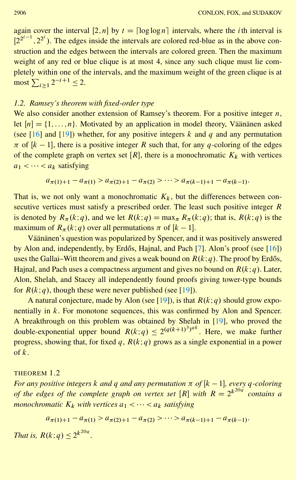<span id="page-3-1"></span>again cover the interval  $[2,n]$  by  $t = \lceil \log \log n \rceil$  intervals, where the *i*th interval is  $[2^{2^{i-1}}, 2^{2^i})$ . The edges inside the intervals are colored red-blue as in the above construction and the edges between the intervals are colored green. Then the maximum weight of any red or blue clique is at most 4, since any such clique must lie completely within one of the intervals, and the maximum weight of the green clique is at most  $\sum_{i\geq 1} 2^{-i+1} \leq 2$ .

## *1.2. Ramsey's theorem with fixed-order type*

We also consider another extension of Ramsey's theorem. For a positive integer  $n$ , let  $[n] = \{1, \ldots, n\}$ . Motivated by an application in model theory, Väänänen asked (see [\[16](#page-24-4)] and [\[19\]](#page-24-5)) whether, for any positive integers k and q and any permutation  $\pi$  of  $[k-1]$ , there is a positive integer R such that, for any q-coloring of the edges of the complete graph on vertex set  $[R]$ , there is a monochromatic  $K_k$  with vertices  $a_1 < \cdots < a_k$  satisfying

$$
a_{\pi(1)+1} - a_{\pi(1)} > a_{\pi(2)+1} - a_{\pi(2)} > \cdots > a_{\pi(k-1)+1} - a_{\pi(k-1)}.
$$

That is, we not only want a monochromatic  $K_k$ , but the differences between consecutive vertices must satisfy a prescribed order. The least such positive integer R is denoted by  $R_{\pi}(k;q)$ , and we let  $R(k;q) = \max_{\pi} R_{\pi}(k;q)$ ; that is,  $R(k;q)$  is the maximum of  $R_{\pi}(k;q)$  over all permutations  $\pi$  of  $[k-1]$ .

Väänänen's question was popularized by Spencer, and it was positively answered by Alon and, independently, by Erdős, Hajnal, and Pach  $[7]$  $[7]$ . Alon's proof (see  $[16]$ ) uses the Gallai–Witt theorem and gives a weak bound on  $R(k; q)$ . The proof by Erdős, Hajnal, and Pach uses a compactness argument and gives no bound on  $R(k; q)$ . Later, Alon, Shelah, and Stacey all independently found proofs giving tower-type bounds for  $R(k; q)$ , though these were never published (see [\[19\]](#page-24-5)).

A natural conjecture, made by Alon (see [\[19](#page-24-5)]), is that  $R(k; q)$  should grow exponentially in  $k$ . For monotone sequences, this was confirmed by Alon and Spencer. A breakthrough on this problem was obtained by Shelah in [\[19\]](#page-24-5), who proved the double-exponential upper bound  $R(k;q) \leq 2^{(q(k+1)^3)^{qk}}$ . Here, we make further progress, showing that, for fixed q,  $R(k; q)$  grows as a single exponential in a power of  $k$ .

## <span id="page-3-0"></span>THEOREM 1.2

*For any positive integers k and q and any permutation*  $\pi$  of [ $k - 1$ ], every q-coloring *of the edges of the complete graph on vertex set*  $[R]$  *with*  $R = 2^{k^{20q}}$  *contains a monochromatic*  $K_k$  *with vertices*  $a_1 < \cdots < a_k$  *satisfying* 

$$
a_{\pi(1)+1} - a_{\pi(1)} > a_{\pi(2)+1} - a_{\pi(2)} > \cdots > a_{\pi(k-1)+1} - a_{\pi(k-1)}.
$$

*That is,*  $R(k; q) \leq 2^{k^{20q}}$ .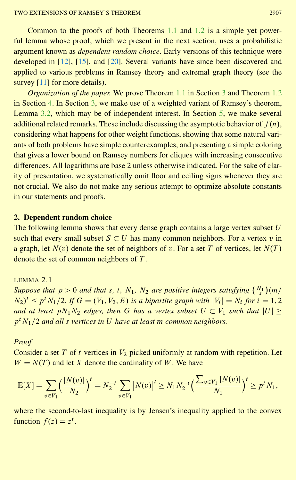<span id="page-4-1"></span>Common to the proofs of both Theorems [1.1](#page-2-0) and [1.2](#page-3-0) is a simple yet powerful lemma whose proof, which we present in the next section, uses a probabilistic argument known as *dependent random choice*. Early versions of this technique were developed in [\[12](#page-24-6)], [\[15\]](#page-24-7), and [\[20](#page-24-8)]. Several variants have since been discovered and applied to various problems in Ramsey theory and extremal graph theory (see the survey [\[11](#page-23-5)] for more details).

*Organization of the paper.* We prove Theorem [1.1](#page-2-0) in Section [3](#page-5-0) and Theorem [1.2](#page-3-0) in Section [4.](#page-10-0) In Section [3,](#page-5-0) we make use of a weighted variant of Ramsey's theorem, Lemma [3.2,](#page-6-0) which may be of independent interest. In Section [5,](#page-16-0) we make several additional related remarks. These include discussing the asymptotic behavior of  $f(n)$ , considering what happens for other weight functions, showing that some natural variants of both problems have simple counterexamples, and presenting a simple coloring that gives a lower bound on Ramsey numbers for cliques with increasing consecutive differences. All logarithms are base 2 unless otherwise indicated. For the sake of clarity of presentation, we systematically omit floor and ceiling signs whenever they are not crucial. We also do not make any serious attempt to optimize absolute constants in our statements and proofs.

## **2. Dependent random choice**

The following lemma shows that every dense graph contains a large vertex subset  $U$ such that every small subset  $S \subset U$  has many common neighbors. For a vertex v in a graph, let  $N(v)$  denote the set of neighbors of v. For a set T of vertices, let  $N(T)$ denote the set of common neighbors of T .

<span id="page-4-0"></span>LEMMA 2.1

*Suppose that*  $p > 0$  *and that* s, t,  $N_1$ ,  $N_2$  *are positive integers satisfying*  $\binom{N_1}{s}$  $\overline{m/}$  $(N_2)^t \le p^t N_1/2$ . If  $G = (V_1, V_2, E)$  is a bipartite graph with  $|V_i| = N_i$  for  $i = 1, 2$ *and at least*  $pN_1N_2$  *edges, then* G *has a vertex subset*  $U \subset V_1$  *such that*  $|U|$  >  $p<sup>t</sup> N<sub>1</sub>/2$  and all s vertices in U have at least m common neighbors.

*Proof*

Consider a set  $T$  of  $t$  vertices in  $V_2$  picked uniformly at random with repetition. Let  $W = N(T)$  and let X denote the cardinality of W. We have

$$
\mathbb{E}[X] = \sum_{v \in V_1} \left(\frac{|N(v)|}{N_2}\right)^t = N_2^{-t} \sum_{v \in V_1} |N(v)|^t \ge N_1 N_2^{-t} \left(\frac{\sum_{v \in V_1} |N(v)|}{N_1}\right)^t \ge p^t N_1,
$$

where the second-to-last inequality is by Jensen's inequality applied to the convex function  $f(z) = z^t$ .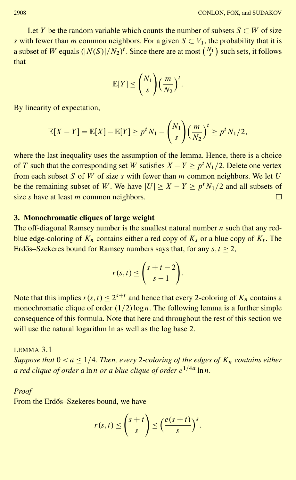Let Y be the random variable which counts the number of subsets  $S \subset W$  of size s with fewer than m common neighbors. For a given  $S \subset V_1$ , the probability that it is a subset of W equals  $\left(\frac{|N(S)|}{N_2}\right)^t$ . Since there are at most  $\left(\frac{N_1}{S_2}\right)^t$  $\sum$  such sets, it follows that

$$
\mathbb{E}[Y] \leq {N_1 \choose s} \left(\frac{m}{N_2}\right)^t.
$$

By linearity of expectation,

$$
\mathbb{E}[X-Y] = \mathbb{E}[X] - \mathbb{E}[Y] \ge p^t N_1 - {N_1 \choose s} \left(\frac{m}{N_2}\right)^t \ge p^t N_1/2,
$$

where the last inequality uses the assumption of the lemma. Hence, there is a choice of T such that the corresponding set W satisfies  $X - Y \ge p^t N_1/2$ . Delete one vertex from each subset S of W of size s with fewer than  $m$  common neighbors. We let  $U$ be the remaining subset of W. We have  $|U| \ge X - Y \ge p^t N_1/2$  and all subsets of size  $s$  have at least  $m$  common neighbors. П

## <span id="page-5-0"></span>**3. Monochromatic cliques of large weight**

The off-diagonal Ramsey number is the smallest natural number  $n$  such that any redblue edge-coloring of  $K_n$  contains either a red copy of  $K_s$  or a blue copy of  $K_t$ . The Erdős–Szekeres bound for Ramsey numbers says that, for any  $s, t > 2$ ,

$$
r(s,t) \leq \binom{s+t-2}{s-1}.
$$

Note that this implies  $r(s,t) \leq 2^{s+t}$  and hence that every 2-coloring of  $K_n$  contains a monochromatic clique of order  $(1/2)$  logn. The following lemma is a further simple consequence of this formula. Note that here and throughout the rest of this section we will use the natural logarithm ln as well as the log base 2.

<span id="page-5-1"></span>LEMMA 3.1 *Suppose that*  $0 < a \leq 1/4$ *. Then, every 2-coloring of the edges of*  $K_n$  *contains either a red clique of order a* lnn *or a blue clique of order*  $e^{1/4a}$  lnn.

## *Proof*

From the Erdős–Szekeres bound, we have

$$
r(s,t) \leq {s+t \choose s} \leq \left(\frac{e(s+t)}{s}\right)^s.
$$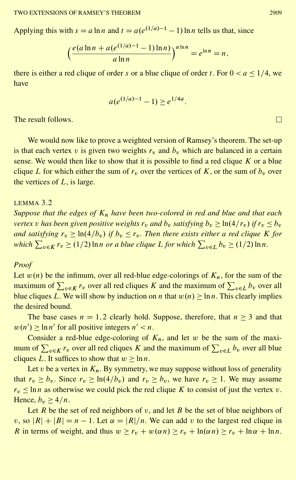#### TWO EXTENSIONS OF RAMSEY'S THEOREM 2909

Applying this with  $s = a \ln n$  and  $t = a(e^{(1/a)-1} - 1) \ln n$  tells us that, since

$$
\left(\frac{e(a\ln n + a(e^{(1/a)-1} - 1)\ln n)}{a\ln n}\right)^{a\ln n} = e^{\ln n} = n,
$$

there is either a red clique of order s or a blue clique of order t. For  $0 < a \leq 1/4$ , we have

$$
a(e^{(1/a)-1}-1) \ge e^{1/4a}.
$$

The result follows.

We would now like to prove a weighted version of Ramsey's theorem. The set-up is that each vertex v is given two weights  $r_v$  and  $b_v$  which are balanced in a certain sense. We would then like to show that it is possible to find a red clique  $K$  or a blue clique L for which either the sum of  $r_v$  over the vertices of K, or the sum of  $b_v$  over the vertices of  $L$ , is large.

## <span id="page-6-0"></span>LEMMA 3.2

*Suppose that the edges of*  $K_n$  *have been two-colored in red and blue and that each vertex v has been given positive weights*  $r_v$  *and*  $b_v$  *satisfying*  $b_v$  >  $\ln(4/r_v)$  *if*  $r_v$  <  $b_v$ *and satisfying*  $r_v \geq \ln(4/b_v)$  *if*  $b_v \leq r_v$ . Then there exists either a red clique K *for* which  $\sum_{v \in K} r_v \geq (1/2) \ln n$  or a blue clique L for which  $\sum_{v \in L} b_v \geq (1/2) \ln n$ .

## *Proof*

Let  $w(n)$  be the infimum, over all red-blue edge-colorings of  $K_n$ , for the sum of the maximum of  $\sum_{v \in K} r_v$  over all red cliques K and the maximum of  $\sum_{v \in L} b_v$  over all blue cliques L. We will show by induction on n that  $w(n) \ge \ln n$ . This clearly implies the desired bound.

The base cases  $n = 1,2$  clearly hold. Suppose, therefore, that  $n \geq 3$  and that  $w(n') \ge \ln n'$  for all positive integers  $n' < n$ .

Consider a red-blue edge-coloring of  $K_n$ , and let w be the sum of the maximum of  $\sum_{v \in K} r_v$  over all red cliques K and the maximum of  $\sum_{v \in L} b_v$  over all blue cliques L. It suffices to show that  $w > \ln n$ .

Let v be a vertex in  $K_n$ . By symmetry, we may suppose without loss of generality that  $r_v > b_v$ . Since  $r_v > \ln(4/b_v)$  and  $r_v > b_v$ , we have  $r_v > 1$ . We may assume  $r_v \leq \ln n$  as otherwise we could pick the red clique K to consist of just the vertex v. Hence,  $b_v \geq 4/n$ .

Let R be the set of red neighbors of v, and let B be the set of blue neighbors of v, so  $|R| + |B| = n - 1$ . Let  $\alpha = |R|/n$ . We can add v to the largest red clique in R in terms of weight, and thus  $w \ge r_v + w(\alpha n) \ge r_v + \ln(\alpha n) \ge r_v + \ln \alpha + \ln n$ .

 $\Box$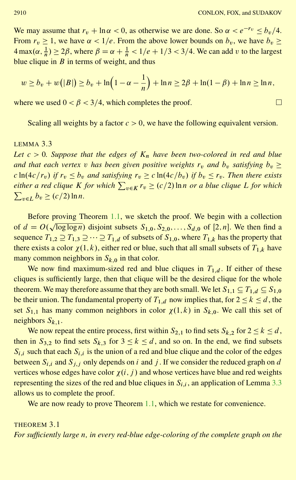$\Box$ 

We may assume that  $r_v + \ln \alpha < 0$ , as otherwise we are done. So  $\alpha < e^{-r_v} \le b_v/4$ . From  $r_v \ge 1$ , we have  $\alpha < 1/e$ . From the above lower bounds on  $b_v$ , we have  $b_v \ge$  $4 \max(\alpha, \frac{1}{n}) \ge 2\beta$ , where  $\beta = \alpha + \frac{1}{n} < 1/e + 1/3 < 3/4$ . We can add v to the largest blue clique in  $B$  in terms of weight, and thus

$$
w \ge b_v + w(|B|) \ge b_v + \ln\left(1 - \alpha - \frac{1}{n}\right) + \ln n \ge 2\beta + \ln(1 - \beta) + \ln n \ge \ln n,
$$

where we used  $0 < \beta < 3/4$ , which completes the proof.

Scaling all weights by a factor  $c>0$ , we have the following equivalent version.

## <span id="page-7-0"></span>LEMMA 3.3

Let  $c > 0$ . Suppose that the edges of  $K_n$  have been two-colored in red and blue *and that each vertex v has been given positive weights*  $r_v$  *and*  $b_v$  *satisfying*  $b_v \geq$  $c \ln(4c/r_v)$  *if*  $r_v \leq b_v$  *and satisfying*  $r_v \geq c \ln(4c/b_v)$  *if*  $b_v \leq r_v$ *. Then there exists*  $e^{i\pi}$  a red clique K for which  $\sum_{v \in K} r_v \ge (c/2) \ln n$  or a blue clique L for which  $\sum_{v \in L} b_v \ge (c/2) \ln n.$ 

Before proving Theorem [1.1,](#page-2-0) we sketch the proof. We begin with a collection of  $d = O(\sqrt{\log \log n})$  disjoint subsets  $S_{1,0}, S_{2,0}, \ldots, S_{d,0}$  of  $[2,n]$ . We then find a sequence  $T_{1,2} \supseteq T_{1,3} \supseteq \cdots \supseteq T_{1,d}$  of subsets of  $S_{1,0}$ , where  $T_{1,k}$  has the property that there exists a color  $\chi(1,k)$ , either red or blue, such that all small subsets of  $T_{1,k}$  have many common neighbors in  $S_{k,0}$  in that color.

We now find maximum-sized red and blue cliques in  $T_{1,d}$ . If either of these cliques is sufficiently large, then that clique will be the desired clique for the whole theorem. We may therefore assume that they are both small. We let  $S_{1,1} \subseteq T_{1,d} \subseteq S_{1,0}$ be their union. The fundamental property of  $T_{1,d}$  now implies that, for  $2 \le k \le d$ , the set  $S_{1,1}$  has many common neighbors in color  $\chi(1,k)$  in  $S_{k,0}$ . We call this set of neighbors  $S_{k,1}$ .

We now repeat the entire process, first within  $S_{2,1}$  to find sets  $S_{k,2}$  for  $2 \le k \le d$ , then in  $S_{3,2}$  to find sets  $S_{k,3}$  for  $3 \le k \le d$ , and so on. In the end, we find subsets  $S_{i,i}$  such that each  $S_{i,i}$  is the union of a red and blue clique and the color of the edges between  $S_{i,i}$  and  $S_{j,i}$  only depends on i and j. If we consider the reduced graph on d vertices whose edges have color  $\chi(i, j)$  and whose vertices have blue and red weights representing the sizes of the red and blue cliques in  $S_{i,i}$ , an application of Lemma [3.3](#page-7-0) allows us to complete the proof.

We are now ready to prove Theorem [1.1,](#page-2-0) which we restate for convenience.

<span id="page-7-1"></span>THEOREM 3.1 *For sufficiently large* n*, in every red-blue edge-coloring of the complete graph on the*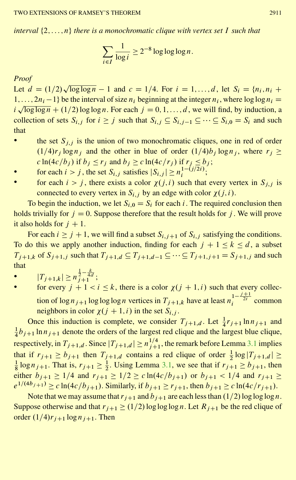*interval*  $\{2,\ldots,n\}$  *there is a monochromatic clique with vertex set* I *such that* 

$$
\sum_{i \in I} \frac{1}{\log i} \ge 2^{-8} \log \log \log n.
$$

#### *Proof*

Let  $d = (1/2)\sqrt{\log \log n} - 1$  and  $c = 1/4$ . For  $i = 1, ..., d$ , let  $S_i = \{n_i, n_i +$  $1,\ldots,2n_i-1$  be the interval of size  $n_i$  beginning at the integer  $n_i$ , where  $\log \log n_i =$  $i\sqrt{\log \log n} + (1/2) \log \log n$ . For each  $j = 0, 1, ..., d$ , we will find, by induction, a collection of sets  $S_{i,j}$  for  $i \geq j$  such that  $S_{i,j} \subseteq S_{i,j-1} \subseteq \cdots \subseteq S_{i,0} = S_i$  and such that

- the set  $S_{i,j}$  is the union of two monochromatic cliques, one in red of order  $(1/4)r_i \log n_i$  and the other in blue of order  $(1/4)b_i \log n_i$ , where  $r_i \ge$  $c \ln(4c/b_j)$  if  $b_j \le r_j$  and  $b_j \ge c \ln(4c/r_j)$  if  $r_j \le b_j$ ;
- for each  $i > j$ , the set  $S_{i,j}$  satisfies  $|S_{i,j}| \ge n_i^{1-(j/2i)}$ ;
- for each  $i > j$ , there exists a color  $\chi(j, i)$  such that every vertex in  $S_{j, j}$  is connected to every vertex in  $S_{i,j}$  by an edge with color  $\gamma(i,i)$ .

To begin the induction, we let  $S_{i,0} = S_i$  for each i. The required conclusion then holds trivially for  $j = 0$ . Suppose therefore that the result holds for j. We will prove it also holds for  $j + 1$ .

For each  $i \ge j + 1$ , we will find a subset  $S_{i,j+1}$  of  $S_{i,j}$  satisfying the conditions. To do this we apply another induction, finding for each  $j + 1 \le k \le d$ , a subset  $T_{j+1,k}$  of  $S_{j+1,j}$  such that  $T_{j+1,d} \subseteq T_{j+1,d-1} \subseteq \cdots \subseteq T_{j+1,j+1} = S_{j+1,j}$  and such that

- $|T_{j+1,k}| \ge n^{\frac{1}{2} \frac{k}{4d}};$
- for every  $j + 1 < i \leq k$ , there is a color  $\chi(j + 1, i)$  such that every collection of  $\log n_{j+1} \log \log \log n$  vertices in  $T_{j+1,k}$  have at least  $n_i^{1-\frac{j+1}{2i}}$  common neighbors in color  $\chi(j + 1,i)$  in the set  $S_{i,j}$ .

Once this induction is complete, we consider  $T_{j+1,d}$ . Let  $\frac{1}{4}r_{j+1} \ln n_{j+1}$  and  $\frac{1}{4}b_{j+1} \ln n_{j+1}$  denote the orders of the largest red clique and the largest blue clique, respectively, in  $T_{j+1,d}$ . Since  $|T_{j+1,d}| \ge n_j^{1/4}$ , the remark before Lemma [3.1](#page-5-1) implies that if  $r_{j+1} \ge b_{j+1}$  then  $T_{j+1,d}$  contains a red clique of order  $\frac{1}{2} \log |T_{j+1,d}| \ge$  $\frac{1}{8} \log n_{j+1}$ . That is,  $r_{j+1} \ge \frac{1}{2}$ . Using Lemma [3.1,](#page-5-1) we see that if  $r_{j+1} \ge b_{j+1}$ , then either  $b_{i+1} \ge 1/4$  and  $r_{i+1} \ge 1/2 \ge c \ln(4c/b_{i+1})$  or  $b_{i+1} < 1/4$  and  $r_{i+1} \ge$  $e^{1/(4b_{j+1})} \ge c \ln(4c/b_{j+1})$ . Similarly, if  $b_{j+1} \ge r_{j+1}$ , then  $b_{j+1} \ge c \ln(4c/r_{j+1})$ .

Note that we may assume that  $r_{i+1}$  and  $b_{i+1}$  are each less than  $(1/2)$  log log logn. Suppose otherwise and that  $r_{j+1} \ge (1/2) \log \log \log n$ . Let  $R_{j+1}$  be the red clique of order  $(1/4)r_{i+1}$  log  $n_{i+1}$ . Then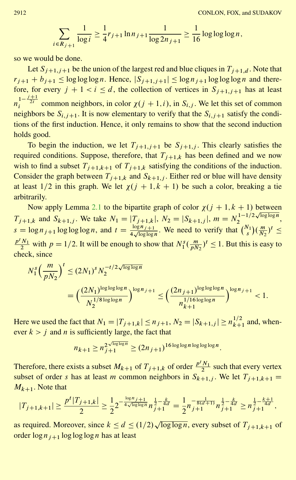$$
\sum_{i \in R_{j+1}} \frac{1}{\log i} \ge \frac{1}{4} r_{j+1} \ln n_{j+1} \frac{1}{\log 2n_{j+1}} \ge \frac{1}{16} \log \log \log n,
$$

so we would be done.

Let  $S_{i+1,i+1}$  be the union of the largest red and blue cliques in  $T_{i+1,d}$ . Note that  $r_{i+1} + b_{i+1} \le \log \log \log n$ . Hence,  $|S_{i+1,j+1}| \le \log n_{i+1} \log \log \log n$  and therefore, for every  $j + 1 < i \le d$ , the collection of vertices in  $S_{i+1,j+1}$  has at least  $n_i^{1-\frac{j+1}{2i}}$  common neighbors, in color  $\chi(j+1,i)$ , in  $S_{i,j}$ . We let this set of common neighbors be  $S_{i,j+1}$ . It is now elementary to verify that the  $S_{i,j+1}$  satisfy the conditions of the first induction. Hence, it only remains to show that the second induction holds good.

To begin the induction, we let  $T_{i+1,j+1}$  be  $S_{i+1,j}$ . This clearly satisfies the required conditions. Suppose, therefore, that  $T_{j+1,k}$  has been defined and we now wish to find a subset  $T_{i+1,k+1}$  of  $T_{i+1,k}$  satisfying the conditions of the induction. Consider the graph between  $T_{j+1,k}$  and  $S_{k+1,j}$ . Either red or blue will have density at least  $1/2$  in this graph. We let  $\chi(j + 1, k + 1)$  be such a color, breaking a tie arbitrarily.

Now apply Lemma [2.1](#page-4-0) to the bipartite graph of color  $\gamma(i + 1, k + 1)$  between  $T_{j+1,k}$  and  $S_{k+1,j}$ . We take  $N_1 = |T_{j+1,k}|$ ,  $N_2 = |S_{k+1,j}|$ ,  $m = N_2^{1-1/2\sqrt{\log \log n}}$  $\frac{(1-1)}{2}$  ,  $\frac{1}{2}$ ,  $\frac{1}{2}$ ,  $\frac{1}{2}$ ,  $\frac{1}{2}$  $s = \log n_{j+1} \log \log \log n$ , and  $t = \frac{\log n_{j+1}}{4\sqrt{\log \log n}}$ . We need to verify that  $\binom{N_1}{s}$  $(\frac{m}{N_2})^t \leq$  $\frac{p^t N_1}{2}$  with  $p = 1/2$ . It will be enough to show that  $N_1^s(\frac{m}{pN_2})^t \le 1$ . But this is easy to check, since

$$
N_1^s \left(\frac{m}{pN_2}\right)^t \le (2N_1)^s N_2^{-t/2\sqrt{\log\log n}}
$$
  
= 
$$
\left(\frac{(2N_1)^{\log\log\log n}}{N_2^{1/8\log\log n}}\right)^{\log n_j+1} \le \left(\frac{(2n_{j+1})^{\log\log\log n}}{n_{k+1}^{1/16\log\log n}}\right)^{\log n_j+1} < 1.
$$

Here we used the fact that  $N_1 = |T_{j+1,k}| \le n_{j+1}, N_2 = |S_{k+1,j}| \ge n_{k+1}^{1/2}$  and, whenever  $k > j$  and n is sufficiently large, the fact that

$$
n_{k+1} \ge n_{j+1}^{2\sqrt{\log\log n}} \ge (2n_{j+1})^{16\log\log n \log\log n}.
$$

Therefore, there exists a subset  $M_{k+1}$  of  $T_{j+1,k}$  of order  $\frac{p^t N_1}{2}$  such that every vertex subset of order s has at least m common neighbors in  $S_{k+1,j}$ . We let  $T_{j+1,k+1}$  =  $M_{k+1}$ . Note that

$$
|T_{j+1,k+1}| \geq \frac{p^t |T_{j+1,k}|}{2} \geq \frac{1}{2} 2^{-\frac{\log n_{j+1}}{4\sqrt{\log \log n}}} n_{j+1}^{\frac{1}{2}-\frac{k}{4d}} = \frac{1}{2} n^{-\frac{1}{8(d+1)}} n_{j+1}^{\frac{1}{2}-\frac{k}{4d}} \geq n_{j+1}^{\frac{1}{2}-\frac{k+1}{4d}},
$$

as required. Moreover, since  $k \le d \le (1/2)\sqrt{\log \log n}$ , every subset of  $T_{j+1,k+1}$  of order  $\log n_{i+1} \log \log \log n$  has at least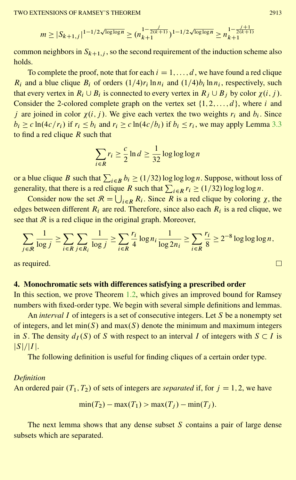$$
m \ge |S_{k+1,j}|^{1-1/2\sqrt{\log\log n}} \ge (n_{k+1}^{1-\frac{j}{2(k+1)}})^{1-1/2\sqrt{\log\log n}} \ge n_{k+1}^{1-\frac{j+1}{2(k+1)}}
$$

common neighbors in  $S_{k+1,i}$ , so the second requirement of the induction scheme also holds.

To complete the proof, note that for each  $i = 1, \ldots, d$ , we have found a red clique  $R_i$  and a blue clique  $B_i$  of orders  $(1/4)r_i \ln n_i$  and  $(1/4)b_i \ln n_i$ , respectively, such that every vertex in  $R_i \cup B_i$  is connected to every vertex in  $R_i \cup B_j$  by color  $\gamma(i, j)$ . Consider the 2-colored complete graph on the vertex set  $\{1, 2, \ldots, d\}$ , where i and j are joined in color  $\chi(i, j)$ . We give each vertex the two weights  $r_i$  and  $b_i$ . Since  $b_i \ge c \ln(4c/r_i)$  if  $r_i \le b_i$  and  $r_i \ge c \ln(4c/b_i)$  if  $b_i \le r_i$ , we may apply Lemma [3.3](#page-7-0) to find a red clique  $R$  such that

$$
\sum_{i \in R} r_i \ge \frac{c}{2} \ln d \ge \frac{1}{32} \log \log \log n
$$

or a blue clique B such that  $\sum_{i \in B} b_i \ge (1/32) \log \log \log n$ . Suppose, without loss of generality, that there is a red clique R such that  $\sum_{i \in R} r_i \ge (1/32) \log \log \log n$ .

Consider now the set  $\mathcal{R} = \bigcup_{i \in R} R_i$ . Since R is a red clique by coloring  $\chi$ , the edges between different  $R_i$  are red. Therefore, since also each  $R_i$  is a red clique, we see that  $\mathcal R$  is a red clique in the original graph. Moreover,

$$
\sum_{j \in \mathcal{R}} \frac{1}{\log j} \ge \sum_{i \in R} \sum_{j \in R_i} \frac{1}{\log j} \ge \sum_{i \in R} \frac{r_i}{4} \log n_i \frac{1}{\log 2n_i} \ge \sum_{i \in R} \frac{r_i}{8} \ge 2^{-8} \log \log \log n,
$$

<span id="page-10-0"></span>as required.

# **4. Monochromatic sets with differences satisfying a prescribed order**

In this section, we prove Theorem [1.2,](#page-3-0) which gives an improved bound for Ramsey numbers with fixed-order type. We begin with several simple definitions and lemmas.

An *interval* I of integers is a set of consecutive integers. Let S be a nonempty set of integers, and let  $min(S)$  and  $max(S)$  denote the minimum and maximum integers in S. The density  $d_I(S)$  of S with respect to an interval I of integers with  $S \subset I$  is  $|S|/|I|$ .

The following definition is useful for finding cliques of a certain order type.

#### *Definition*

An ordered pair  $(T_1, T_2)$  of sets of integers are *separated* if, for  $j = 1, 2$ , we have

$$
\min(T_2) - \max(T_1) > \max(T_j) - \min(T_j).
$$

The next lemma shows that any dense subset  $S$  contains a pair of large dense subsets which are separated.

$$
\sqcup
$$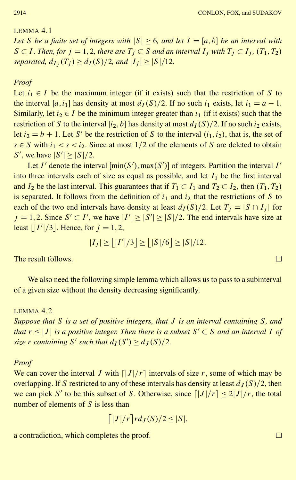## <span id="page-11-1"></span>LEMMA 4.1

*Let S be a finite set of integers with*  $|S| \geq 6$ , *and let*  $I = [a, b]$  *be an interval with*  $S \subset I$ *. Then, for*  $j = 1, 2$ *, there are*  $T_j \subset S$  *and an interval*  $I_j$  *with*  $T_j \subset I_j$ *,*  $(T_1, T_2)$ *separated,*  $d_{I_i}(T_i) \geq d_I(S)/2$ , and  $|I_i| \geq |S|/12$ .

### *Proof*

Let  $i_1 \in I$  be the maximum integer (if it exists) such that the restriction of S to the interval [a, i<sub>1</sub>] has density at most  $d_I(S)/2$ . If no such i<sub>1</sub> exists, let  $i_1 = a - 1$ . Similarly, let  $i_2 \in I$  be the minimum integer greater than  $i_1$  (if it exists) such that the restriction of S to the interval  $[i_2,b]$  has density at most  $d_I(S)/2$ . If no such  $i_2$  exists, let  $i_2 = b + 1$ . Let S' be the restriction of S to the interval  $(i_1, i_2)$ , that is, the set of  $s \in S$  with  $i_1 < s < i_2$ . Since at most 1/2 of the elements of S are deleted to obtain S', we have  $|S'| \geq |S|/2$ .

Let I' denote the interval  $[\min(S'), \max(S')]$  of integers. Partition the interval I' into three intervals each of size as equal as possible, and let  $I_1$  be the first interval and  $I_2$  be the last interval. This guarantees that if  $T_1 \subset I_1$  and  $T_2 \subset I_2$ , then  $(T_1, T_2)$ is separated. It follows from the definition of  $i_1$  and  $i_2$  that the restrictions of S to each of the two end intervals have density at least  $d_I(S)/2$ . Let  $T_i = |S \cap I_i|$  for  $j = 1, 2$ . Since  $S' \subset I'$ , we have  $|I'| \geq |S'| \geq |S|/2$ . The end intervals have size at least  $\lfloor |I'|/3 \rfloor$ . Hence, for  $j = 1, 2$ ,

$$
|I_j| \ge | |I'|/3 | \ge | |S|/6 | \ge |S|/12.
$$

The result follows.

We also need the following simple lemma which allows us to pass to a subinterval of a given size without the density decreasing significantly.

## <span id="page-11-0"></span>LEMMA 4.2

*Suppose that* S *is a set of positive integers, that* J *is an interval containing* S*, and that*  $r \leq |J|$  *is a positive integer. Then there is a subset*  $S' \subset S$  *and an interval* I *of size* r *containing* S' *such that*  $d_I(S') \geq d_J(S)/2$ .

## *Proof*

We can cover the interval J with  $\lfloor |J|/r \rfloor$  intervals of size r, some of which may be overlapping. If S restricted to any of these intervals has density at least  $d<sub>J</sub>(S)/2$ , then we can pick S' to be this subset of S. Otherwise, since  $\left[ |J|/r \right] \leq 2|J|/r$ , the total number of elements of  $S$  is less than

$$
\lceil |J|/r \rceil r d_J(S)/2 \leq |S|,
$$

a contradiction, which completes the proof.

 $\Box$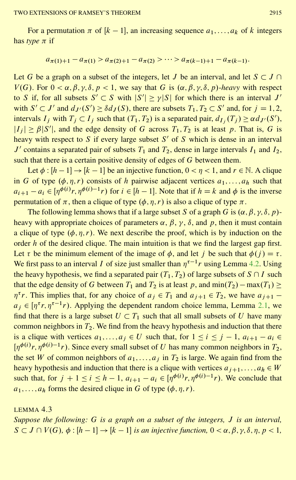For a permutation  $\pi$  of  $[k-1]$ , an increasing sequence  $a_1, \ldots, a_k$  of k integers has *type*  $\pi$  if

$$
a_{\pi(1)+1} - a_{\pi(1)} > a_{\pi(2)+1} - a_{\pi(2)} > \cdots > a_{\pi(k-1)+1} - a_{\pi(k-1)}.
$$

Let G be a graph on a subset of the integers, let J be an interval, and let  $S \subset J \cap$  $V(G)$ . For  $0 < \alpha, \beta, \gamma, \delta, p < 1$ , we say that G is  $(\alpha, \beta, \gamma, \delta, p)$ -heavy with respect to S if, for all subsets  $S' \subset S$  with  $|S'| \ge \gamma |S|$  for which there is an interval J' with  $S' \subset J'$  and  $d_{J'}(S') \ge \delta d_J(S)$ , there are subsets  $T_1, T_2 \subset S'$  and, for  $j = 1, 2$ , intervals  $I_j$  with  $T_j \subset I_j$  such that  $(T_1, T_2)$  is a separated pair,  $d_{I_j}(T_j) \ge \alpha d_{J'}(S')$ ,  $|I_j| \ge \beta |S'|$ , and the edge density of G across  $T_1, T_2$  is at least p. That is, G is heavy with respect to S if every large subset  $S'$  of S which is dense in an interval J' contains a separated pair of subsets  $T_1$  and  $T_2$ , dense in large intervals  $I_1$  and  $I_2$ , such that there is a certain positive density of edges of G between them.

Let  $\phi : [h-1] \rightarrow [k-1]$  be an injective function,  $0 < \eta < 1$ , and  $r \in \mathbb{N}$ . A clique in G of type  $(\phi, \eta, r)$  consists of h pairwise adjacent vertices  $a_1, \ldots, a_h$  such that  $a_{i+1} - a_i \in [\eta^{\phi(i)}r, \eta^{\phi(i)-1}r)$  for  $i \in [h-1]$ . Note that if  $h = k$  and  $\phi$  is the inverse permutation of  $\pi$ , then a clique of type  $(\phi, \eta, r)$  is also a clique of type  $\pi$ .

The following lemma shows that if a large subset S of a graph G is  $(\alpha, \beta, \gamma, \delta, p)$ heavy with appropriate choices of parameters  $\alpha$ ,  $\beta$ ,  $\gamma$ ,  $\delta$ , and  $p$ , then it must contain a clique of type  $(\phi, \eta, r)$ . We next describe the proof, which is by induction on the order  $h$  of the desired clique. The main intuition is that we find the largest gap first. Let  $\tau$  be the minimum element of the image of  $\phi$ , and let j be such that  $\phi(j) = \tau$ . We first pass to an interval *I* of size just smaller than  $\eta^{\tau-1}r$  using Lemma [4.2.](#page-11-0) Using the heavy hypothesis, we find a separated pair  $(T_1, T_2)$  of large subsets of  $S \cap I$  such that the edge density of G between  $T_1$  and  $T_2$  is at least p, and  $\min(T_2) - \max(T_1) \ge$  $\eta^{\tau}r$ . This implies that, for any choice of  $a_j \in T_1$  and  $a_{j+1} \in T_2$ , we have  $a_{j+1}$   $a_j \in [\eta^{\tau}r, \eta^{\tau-1}r)$ . Applying the dependent random choice lemma, Lemma [2.1,](#page-4-0) we find that there is a large subset  $U \subset T_1$  such that all small subsets of U have many common neighbors in  $T_2$ . We find from the heavy hypothesis and induction that there is a clique with vertices  $a_1, \ldots, a_j \in U$  such that, for  $1 \le i \le j - 1$ ,  $a_{i+1} - a_i \in$  $[\eta^{\phi(i)}r, \eta^{\phi(i)-1}r)$ . Since every small subset of U has many common neighbors in  $T_2$ , the set W of common neighbors of  $a_1, \ldots, a_j$  in  $T_2$  is large. We again find from the heavy hypothesis and induction that there is a clique with vertices  $a_{i+1},...,a_h \in W$ such that, for  $j + 1 \le i \le h - 1$ ,  $a_{i+1} - a_i \in [\eta^{\phi(i)}r, \eta^{\phi(i)-1}r)$ . We conclude that  $a_1, \ldots, a_h$  forms the desired clique in G of type  $(\phi, \eta, r)$ .

<span id="page-12-0"></span>LEMMA 4.3

*Suppose the following:* G *is a graph on a subset of the integers,* J *is an interval,*  $S \subset J \cap V(G)$ ,  $\phi : [h-1] \to [k-1]$  *is an injective function*,  $0 < \alpha, \beta, \gamma, \delta, \eta, p < 1$ ,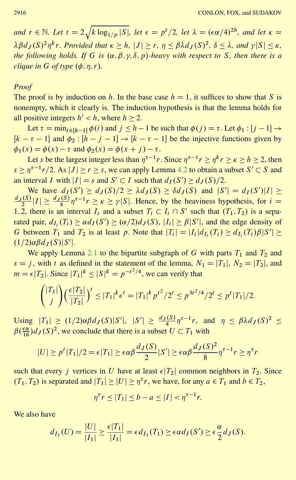*and*  $r \in \mathbb{N}$ *. Let*  $t = 2\sqrt{N}$  $k \log_{1/p} |S|$ *, let*  $\epsilon = p^t/2$ *, let*  $\lambda = (\epsilon \alpha/4)^{2h}$ *, and let*  $\kappa =$  $\lambda \beta d_I(S)^2 \eta^k r$ . Provided that  $\kappa > h$ ,  $|J| > r$ ,  $\eta < \beta \lambda d_I(S)^2$ ,  $\delta < \lambda$ , and  $\gamma |S| < \kappa$ , *the following holds. If* G *is*  $(\alpha, \beta, \gamma, \delta, p)$ -heavy with respect to S, then there is a *clique in* G *of type*  $(\phi, \eta, r)$ *.* 

### *Proof*

The proof is by induction on h. In the base case  $h = 1$ , it suffices to show that S is nonempty, which it clearly is. The induction hypothesis is that the lemma holds for all positive integers  $h' < h$ , where  $h \ge 2$ .

Let  $\tau = \min_{i \in [h-1]} \phi(i)$  and  $j \leq h-1$  be such that  $\phi(j) = \tau$ . Let  $\phi_1 : [j-1] \to$  $[k - \tau - 1]$  and  $\phi_2 : [h - j - 1] \rightarrow [k - \tau - 1]$  be the injective functions given by  $\phi_1(x) = \phi(x) - \tau$  and  $\phi_2(x) = \phi(x + j) - \tau$ .

Let *s* be the largest integer less than  $\eta^{\tau-1}r$ . Since  $\eta^{\tau-1}r \geq \eta^k r \geq \kappa \geq h \geq 2$ , then  $s \geq \eta^{\tau-1} r/2$ . As  $|J| \geq r \geq s$ , we can apply Lemma [4.2](#page-11-0) to obtain a subset  $S' \subset S$  and an interval I with  $|I| = s$  and  $S' \subset I$  such that  $d_I(S') \ge d_J(S)/2$ .

We have  $d_I(S') \geq d_J(S)/2 \geq \lambda d_J(S) \geq \delta d_J(S)$  and  $|S'| = d_I(S')|I| \geq$  $\frac{d_J(S)}{2}|I| \ge \frac{d_J(S)}{4}\eta^{\tau-1}r \ge \kappa \ge \gamma |S|$ . Hence, by the heaviness hypothesis, for  $i =$ 1, 2, there is an interval  $I_i$  and a subset  $T_i \subset I_i \cap S'$  such that  $(T_1,T_2)$  is a separated pair,  $d_{I_i}(T_i) \ge \alpha d_I(S') \ge (\alpha/2)d_J(S)$ ,  $|I_i| \ge \beta |S'|$ , and the edge density of G between  $T_1$  and  $T_2$  is at least p. Note that  $|T_i| = |I_i| d_{I_i}(T_i) \ge d_{I_i}(T_i) \beta |S'| \ge$  $(1/2)\alpha\beta d_J(S)|S'|.$ 

We apply Lemma [2.1](#page-4-0) to the bipartite subgraph of G with parts  $T_1$  and  $T_2$  and  $s = i$ , with t as defined in the statement of the lemma,  $N_1 = |T_1|$ ,  $N_2 = |T_2|$ , and  $m = \epsilon |T_2|$ . Since  $|T_1|^k \leq |S|^k = p^{-t^2/4}$ , we can verify that

$$
{\binom{|T_1|}{j}} {\left(\frac{\epsilon|T_2|}{|T_2|}\right)}^t \le |T_1|^k \epsilon^t = |T_1|^k p^{t^2} / 2^t \le p^{3t^2/4} / 2^t \le p^t |T_1| / 2.
$$

Using  $|T_1| \ge (1/2) \alpha \beta d_J(S) |S'|$ ,  $|S'| \ge \frac{d_J(S)}{4} \eta^{\tau-1} r$ , and  $\eta \le \beta \lambda d_J(S)^2 \le$  $\beta(\frac{\epsilon \alpha}{16})d_J(S)^2$ , we conclude that there is a subset  $U \subset T_1$  with

$$
|U| \ge p^t |T_1|/2 = \epsilon |T_1| \ge \epsilon \alpha \beta \frac{d_J(S)}{2} |S'| \ge \epsilon \alpha \beta \frac{d_J(S)^2}{8} \eta^{\tau - 1} r \ge \eta^{\tau} r
$$

such that every j vertices in U have at least  $\epsilon |T_2|$  common neighbors in  $T_2$ . Since  $(T_1, T_2)$  is separated and  $|T_1| \geq |U| \geq \eta^{\tau} r$ , we have, for any  $a \in T_1$  and  $b \in T_2$ ,

$$
\eta^{\tau} r \le |T_1| \le b - a \le |I| < \eta^{\tau - 1} r.
$$

We also have

$$
d_{I_1}(U) = \frac{|U|}{|I_1|} \ge \frac{\epsilon |T_1|}{|I_1|} = \epsilon d_{I_1}(T_1) \ge \epsilon \alpha d_I(S') \ge \epsilon \frac{\alpha}{2} d_J(S).
$$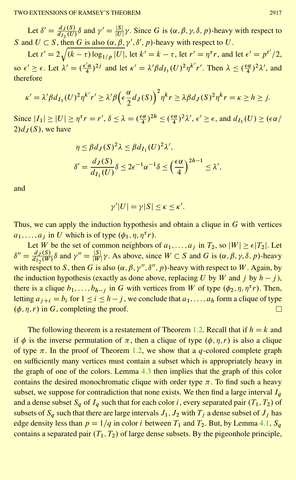Let  $\delta' = \frac{d_J(S)}{d_{I_1}(U)} \delta$  and  $\gamma' = \frac{|S|}{|U|} \gamma$ . Since G is  $(\alpha, \beta, \gamma, \delta, p)$ -heavy with respect to S and  $U \subset S$ , then G is also  $(\alpha, \beta, \gamma', \delta', p)$ -heavy with respect to U.

Let  $t' = 2\sqrt{(k-\tau)\log_{1/p}|U|}$ , let  $k' = k - \tau$ , let  $r' = \eta^{\tau}r$ , and let  $\epsilon' = p^{t'}/2$ , so  $\epsilon' \geq \epsilon$ . Let  $\lambda' = \left(\frac{\epsilon' \alpha}{4}\right)^{2j}$  and let  $\kappa' = \lambda' \beta d_{I_1}(U)^2 \eta^{k'} r'$ . Then  $\lambda \leq \left(\frac{\epsilon \alpha}{4}\right)^2 \lambda'$ , and therefore

$$
\kappa' = \lambda' \beta d_{I_1}(U)^2 \eta^{k'} r' \ge \lambda' \beta \left(\epsilon \frac{\alpha}{2} d_J(S)\right)^2 \eta^k r \ge \lambda \beta d_J(S)^2 \eta^k r = \kappa \ge h \ge j.
$$

Since  $|I_1| \geq |U| \geq \eta^{\tau} r = r'$ ,  $\delta \leq \lambda = \left(\frac{\epsilon \alpha}{4}\right)^{2h} \leq \left(\frac{\epsilon \alpha}{4}\right)^{2} \lambda'$ ,  $\epsilon' \geq \epsilon$ , and  $d_{I_1}(U) \geq (\epsilon \alpha/\epsilon)$  $2)$ d<sub>*I*</sub>(S), we have

$$
\eta \le \beta d_J(S)^2 \lambda \le \beta d_{I_1}(U)^2 \lambda',
$$
  

$$
\delta' = \frac{d_J(S)}{d_{I_1}(U)} \delta \le 2\epsilon^{-1} \alpha^{-1} \delta \le \left(\frac{\epsilon \alpha}{4}\right)^{2h-1} \le \lambda',
$$

and

$$
\gamma'|U| = \gamma|S| \leq \kappa \leq \kappa'.
$$

Thus, we can apply the induction hypothesis and obtain a clique in  $G$  with vertices  $a_1, \ldots, a_j$  in U which is of type  $(\phi_1, \eta, \eta^{\tau})$ .

Let W be the set of common neighbors of  $a_1, \ldots, a_j$  in  $T_2$ , so  $|W| \ge \epsilon |T_2|$ . Let  $\delta'' = \frac{d_J(S)}{d_{I_2}(W)} \delta$  and  $\gamma'' = \frac{|S|}{|W|} \gamma$ . As above, since  $W \subset S$  and G is  $(\alpha, \beta, \gamma, \delta, p)$ -heavy with respect to S, then G is also  $(\alpha, \beta, \gamma'', \delta'', p)$ -heavy with respect to W. Again, by the induction hypothesis (exactly as done above, replacing U by W and j by  $h - j$ ), there is a clique  $b_1,\ldots,b_{h-j}$  in G with vertices from W of type  $(\phi_2,\eta,\eta^\tau r)$ . Then, letting  $a_{j+i} = b_i$  for  $1 \le i \le h-j$ , we conclude that  $a_1,\ldots,a_h$  form a clique of type  $(\phi, \eta, r)$  in G, completing the proof.  $\Box$ 

The following theorem is a restatement of Theorem [1.2.](#page-3-0) Recall that if  $h = k$  and if  $\phi$  is the inverse permutation of  $\pi$ , then a clique of type  $(\phi, \eta, r)$  is also a clique of type  $\pi$ . In the proof of Theorem [1.2,](#page-3-0) we show that a q-colored complete graph on sufficiently many vertices must contain a subset which is appropriately heavy in the graph of one of the colors. Lemma [4.3](#page-12-0) then implies that the graph of this color contains the desired monochromatic clique with order type  $\pi$ . To find such a heavy subset, we suppose for contradiction that none exists. We then find a large interval  $I_a$ and a dense subset  $S_q$  of  $I_q$  such that for each color i, every separated pair  $(T_1, T_2)$  of subsets of  $S_q$  such that there are large intervals  $J_1, J_2$  with  $T_i$  a dense subset of  $J_i$  has edge density less than  $p = 1/q$  in color *i* between  $T_1$  and  $T_2$ . But, by Lemma [4.1,](#page-11-1)  $S_q$ contains a separated pair  $(T_1, T_2)$  of large dense subsets. By the pigeonhole principle,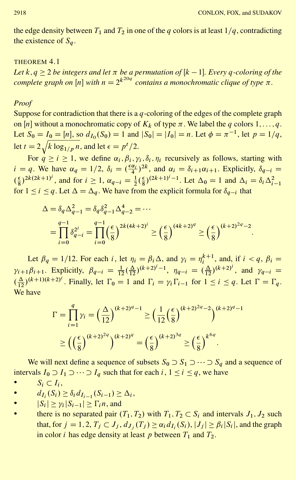the edge density between  $T_1$  and  $T_2$  in one of the q colors is at least  $1/q$ , contradicting the existence of  $S_a$ .

## THEOREM 4.1

Let  $k, q \geq 2$  be integers and let  $\pi$  be a permutation of  $[k-1]$ . Every  $q$ -coloring of the *complete graph on*  $[n]$  *with*  $n = 2^{k^{20q}}$  *contains a monochromatic clique of type*  $\pi$ *.* 

## *Proof*

Suppose for contradiction that there is a  $q$ -coloring of the edges of the complete graph on [*n*] without a monochromatic copy of  $K_k$  of type  $\pi$ . We label the *q* colors 1, ..., *q*. Let  $S_0 = I_0 = [n]$ , so  $d_{I_0}(S_0) = 1$  and  $|S_0| = |I_0| = n$ . Let  $\phi = \pi^{-1}$ , let  $p = 1/q$ , let  $t = 2$  $\frac{1}{l}$  $k \log_{1/p} n$ , and let  $\epsilon = p^t/2$ .

For  $q \ge i \ge 1$ , we define  $\alpha_i, \beta_i, \gamma_i, \delta_i, \eta_i$  recursively as follows, starting with  $i = q$ . We have  $\alpha_q = 1/2$ ,  $\delta_i = \left(\frac{\epsilon \alpha_i}{4}\right)^{2k}$ , and  $\alpha_i = \delta_{i+1} \alpha_{i+1}$ . Explicitly,  $\delta_{q-i} =$  $(\frac{\epsilon}{8})^{2k(2k+1)^i}$ , and for  $i \ge 1$ ,  $\alpha_{q-i} = \frac{1}{2}(\frac{\epsilon}{8})^{(2k+1)^i-1}$ . Let  $\Delta_0 = 1$  and  $\Delta_i = \delta_i \Delta_{i-1}^2$ for  $1 \le i \le q$ . Let  $\Delta = \Delta_q$ . We have from the explicit formula for  $\delta_{q-i}$  that

$$
\Delta = \delta_q \Delta_{q-1}^2 = \delta_q \delta_{q-1}^2 \Delta_{q-2}^4 = \cdots
$$
  
= 
$$
\prod_{i=0}^{q-1} \delta_{q-i}^{2^i} = \prod_{i=0}^{q-1} \left(\frac{\epsilon}{8}\right)^{2k(4k+2)^i} \ge \left(\frac{\epsilon}{8}\right)^{(4k+2)^q} \ge \left(\frac{\epsilon}{8}\right)^{(k+2)^{2q}-2}.
$$

Let  $\beta_q = 1/12$ . For each i, let  $\eta_i = \beta_i \Delta$ , and  $\gamma_i = \eta_i^{k+1}$ , and, if  $i < q$ ,  $\beta_i =$  $\gamma_{i+1}\beta_{i+1}$ . Explicitly,  $\beta_{q-i} = \frac{1}{12}(\frac{\Delta}{12})^{(k+2)^{i}-1}$ ,  $\eta_{q-i} = (\frac{\Delta}{12})^{(k+2)^{i}}$ , and  $\gamma_{q-i} =$  $\left(\frac{\Delta}{12}\right)^{(k+1)(k+2)^i}$ . Finally, let  $\Gamma_0 = 1$  and  $\Gamma_i = \gamma_i \Gamma_{i-1}$  for  $1 \le i \le q$ . Let  $\Gamma = \Gamma_q$ . We have

$$
\Gamma = \prod_{i=1}^{q} \gamma_i = \left(\frac{\Delta}{12}\right)^{(k+2)^q - 1} \ge \left(\frac{1}{12}\left(\frac{\epsilon}{8}\right)^{(k+2)^{2q} - 2}\right)^{(k+2)^q - 1}
$$

$$
\ge \left(\left(\frac{\epsilon}{8}\right)^{(k+2)^{2q}}\right)^{(k+2)^q} = \left(\frac{\epsilon}{8}\right)^{(k+2)^{3q}} \ge \left(\frac{\epsilon}{8}\right)^{k^{6q}}.
$$

We will next define a sequence of subsets  $S_0 \supset S_1 \supset \cdots \supset S_a$  and a sequence of intervals  $I_0 \supset I_1 \supset \cdots \supset I_q$  such that for each  $i, 1 \le i \le q$ , we have

• 
$$
S_i \subset I_i
$$
,

• 
$$
d_{I_i}(S_i) \ge \delta_i d_{I_{i-1}}(S_{i-1}) \ge \Delta_i,
$$

- $|S_i| \geq \gamma_i |S_{i-1}| \geq \Gamma_i n$ , and
- there is no separated pair  $(T_1, T_2)$  with  $T_1, T_2 \subset S_i$  and intervals  $J_1, J_2$  such that, for  $j = 1,2, T_j \subset J_i$ ,  $d_{J_i}(T_i) \ge \alpha_i d_{I_i}(S_i)$ ,  $|J_i| \ge \beta_i |S_i|$ , and the graph in color *i* has edge density at least *p* between  $T_1$  and  $T_2$ .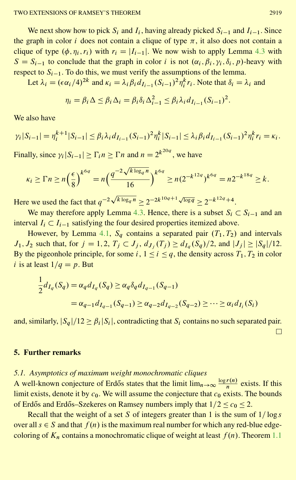We next show how to pick  $S_i$  and  $I_i$ , having already picked  $S_{i-1}$  and  $I_{i-1}$ . Since the graph in color *i* does not contain a clique of type  $\pi$ , it also does not contain a clique of type  $(\phi, \eta_i, r_i)$  with  $r_i = |I_{i-1}|$ . We now wish to apply Lemma [4.3](#page-12-0) with  $S = S_{i-1}$  to conclude that the graph in color i is not  $(\alpha_i, \beta_i, \gamma_i, \delta_i, p)$ -heavy with respect to  $S_{i-1}$ . To do this, we must verify the assumptions of the lemma.

Let  $\lambda_i = (\epsilon \alpha_i/4)^{2k}$  and  $\kappa_i = \lambda_i \beta_i d_{I_{i-1}} (S_{i-1})^2 \eta_i^k r_i$ . Note that  $\delta_i = \lambda_i$  and

$$
\eta_i = \beta_i \Delta \le \beta_i \Delta_i = \beta_i \delta_i \Delta_{i-1}^2 \le \beta_i \lambda_i d_{I_{i-1}} (S_{i-1})^2.
$$

We also have

$$
\gamma_i|S_{i-1}| = \eta_i^{k+1}|S_{i-1}| \leq \beta_i \lambda_i d_{I_{i-1}}(S_{i-1})^2 \eta_i^k|S_{i-1}| \leq \lambda_i \beta_i d_{I_{i-1}}(S_{i-1})^2 \eta_i^k r_i = \kappa_i.
$$

Finally, since  $\gamma_i |S_{i-1}| \ge \Gamma_i n \ge \Gamma n$  and  $n = 2^{k^{20q}}$ , we have

$$
\kappa_i \ge \Gamma n \ge n \left(\frac{\epsilon}{8}\right)^{k^{6q}} = n \left(\frac{q^{-2\sqrt{k \log_q n}}}{16}\right)^{k^{6q}} \ge n \left(2^{-k^{12q}}\right)^{k^{6q}} = n 2^{-k^{18q}} \ge k.
$$

Here we used the fact that  $q^{-2\sqrt{k \log_q n}} \ge 2^{-2k^{10q+1}\sqrt{\log q}} \ge 2^{-k^{12q}+4}$ .

We may therefore apply Lemma [4.3.](#page-12-0) Hence, there is a subset  $S_i \subset S_{i-1}$  and an interval  $I_i \subset I_{i-1}$  satisfying the four desired properties itemized above.

However, by Lemma [4.1,](#page-11-1)  $S_a$  contains a separated pair  $(T_1, T_2)$  and intervals  $J_1, J_2$  such that, for  $j = 1, 2, T_j \subset J_j$ ,  $d_{J_i}(T_j) \geq d_{I_q}(S_q)/2$ , and  $|J_j| \geq |S_q|/12$ . By the pigeonhole principle, for some i,  $1 \le i \le q$ , the density across  $T_1, T_2$  in color i is at least  $1/q = p$ . But

$$
\frac{1}{2}d_{I_q}(S_q) = \alpha_q d_{I_q}(S_q) \ge \alpha_q \delta_q d_{I_{q-1}}(S_{q-1})
$$
\n
$$
= \alpha_{q-1} d_{I_{q-1}}(S_{q-1}) \ge \alpha_{q-2} d_{I_{q-2}}(S_{q-2}) \ge \dots \ge \alpha_i d_{I_i}(S_i)
$$

and, similarly,  $|S_a|/12 \ge \beta_i |S_i|$ , contradicting that  $S_i$  contains no such separated pair.  $\Box$ 

## <span id="page-16-0"></span>**5. Further remarks**

## *5.1. Asymptotics of maximum weight monochromatic cliques*

A well-known conjecture of Erdős states that the limit  $\lim_{n\to\infty} \frac{\log r(n)}{n}$  exists. If this limit exists, denote it by  $c_0$ . We will assume the conjecture that  $c_0$  exists. The bounds of Erdős and Erdős–Szekeres on Ramsey numbers imply that  $1/2 < c_0 < 2$ .

Recall that the weight of a set S of integers greater than 1 is the sum of  $1/\log s$ over all  $s \in S$  and that  $f(n)$  is the maximum real number for which any red-blue edgecoloring of  $K_n$  contains a monochromatic clique of weight at least  $f(n)$ . Theorem [1.1](#page-2-0)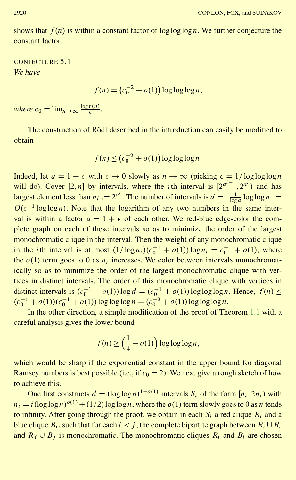shows that  $f(n)$  is within a constant factor of log log log n. We further conjecture the constant factor.

<span id="page-17-0"></span>CONJECTURE 5.1 *We have*

 $f(n) = (c_0^{-2} + o(1)) \log \log \log n,$ 

*where*  $c_0 = \lim_{n \to \infty} \frac{\log r(n)}{n}$ .

The construction of Rödl described in the introduction can easily be modified to obtain

$$
f(n) \le (c_0^{-2} + o(1)) \log \log \log n.
$$

Indeed, let  $a = 1 + \epsilon$  with  $\epsilon \to 0$  slowly as  $n \to \infty$  (picking  $\epsilon = 1/\log \log \log n$ will do). Cover [2, *n*] by intervals, where the *i*th interval is  $[2^{a^{i-1}}, 2^{a^{i}})$  and has largest element less than  $n_i := 2^{a^i}$ . The number of intervals is  $d = \lceil \frac{1}{\log a} \log \log n \rceil$  $O(\epsilon^{-1} \log \log n)$ . Note that the logarithm of any two numbers in the same interval is within a factor  $a = 1 + \epsilon$  of each other. We red-blue edge-color the complete graph on each of these intervals so as to minimize the order of the largest monochromatic clique in the interval. Then the weight of any monochromatic clique in the *i*th interval is at most  $(1/\log n_i)(c_0^{-1} + o(1))\log n_i = c_0^{-1} + o(1)$ , where the  $o(1)$  term goes to 0 as  $n_i$  increases. We color between intervals monochromatically so as to minimize the order of the largest monochromatic clique with vertices in distinct intervals. The order of this monochromatic clique with vertices in distinct intervals is  $(c_0^{-1} + o(1)) \log d = (c_0^{-1} + o(1)) \log \log \log n$ . Hence,  $f(n) \le$  $(c_0^{-1} + o(1))$  $(c_0^{-1} + o(1))$  log log log  $n = (c_0^{-2} + o(1))$  log log log n.

In the other direction, a simple modification of the proof of Theorem [1.1](#page-2-0) with a careful analysis gives the lower bound

$$
f(n) \ge \left(\frac{1}{4} - o(1)\right) \log \log \log n,
$$

which would be sharp if the exponential constant in the upper bound for diagonal Ramsey numbers is best possible (i.e., if  $c_0 = 2$ ). We next give a rough sketch of how to achieve this.

One first constructs  $d = (\log \log n)^{1-o(1)}$  intervals  $S_i$  of the form  $[n_i, 2n_i)$  with  $n_i = i(\log \log n)^{o(1)} + (1/2) \log \log n$ , where the  $o(1)$  term slowly goes to 0 as n tends to infinity. After going through the proof, we obtain in each  $S_i$  a red clique  $R_i$  and a blue clique  $B_i$ , such that for each  $i < j$ , the complete bipartite graph between  $R_i \cup B_i$ and  $R_i \cup B_j$  is monochromatic. The monochromatic cliques  $R_i$  and  $B_i$  are chosen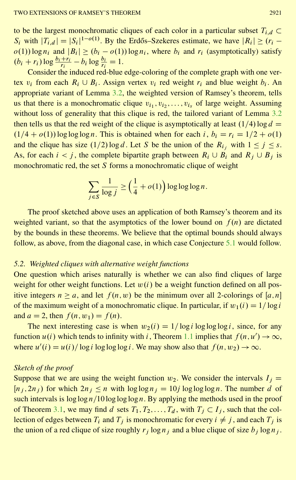to be the largest monochromatic cliques of each color in a particular subset  $T_{i,d} \subset$  $S_i$  with  $|T_{i,d}| = |S_i|^{1-o(1)}$ . By the Erdős–Szekeres estimate, we have  $|R_i| \ge (r_i$  $o(1)$ ) log  $n_i$  and  $|B_i| \ge (b_i - o(1)) \log n_i$ , where  $b_i$  and  $r_i$  (asymptotically) satisfy  $(b_i + r_i) \log \frac{b_i + r_i}{r_i} - b_i \log \frac{b_i}{r_i} = 1.$ 

Consider the induced red-blue edge-coloring of the complete graph with one vertex  $v_i$  from each  $R_i \cup B_i$ . Assign vertex  $v_i$  red weight  $r_i$  and blue weight  $b_i$ . An appropriate variant of Lemma [3.2,](#page-6-0) the weighted version of Ramsey's theorem, tells us that there is a monochromatic clique  $v_{i_1}, v_{i_2}, \ldots, v_{i_s}$  of large weight. Assuming without loss of generality that this clique is red, the tailored variant of Lemma [3.2](#page-6-0) then tells us that the red weight of the clique is asymptotically at least  $(1/4) \log d =$  $(1/4 + o(1)) \log \log \log n$ . This is obtained when for each i,  $b_i = r_i = 1/2 + o(1)$ and the clique has size  $(1/2) \log d$ . Let S be the union of the  $R_i$  with  $1 \le j \le s$ . As, for each  $i < j$ , the complete bipartite graph between  $R_i \cup B_i$  and  $R_j \cup B_j$  is monochromatic red, the set  $S$  forms a monochromatic clique of weight

$$
\sum_{j \in S} \frac{1}{\log j} \ge \left(\frac{1}{4} + o(1)\right) \log \log \log n.
$$

The proof sketched above uses an application of both Ramsey's theorem and its weighted variant, so that the asymptotics of the lower bound on  $f(n)$  are dictated by the bounds in these theorems. We believe that the optimal bounds should always follow, as above, from the diagonal case, in which case Conjecture [5.1](#page-17-0) would follow.

#### *5.2. Weighted cliques with alternative weight functions*

One question which arises naturally is whether we can also find cliques of large weight for other weight functions. Let  $w(i)$  be a weight function defined on all positive integers  $n \ge a$ , and let  $f(n, w)$  be the minimum over all 2-colorings of [a, n] of the maximum weight of a monochromatic clique. In particular, if  $w_1(i) = 1/\log i$ and  $a = 2$ , then  $f(n, w_1) = f(n)$ .

The next interesting case is when  $w_2(i) = 1/\log i \log \log \log i$ , since, for any function  $u(i)$  which tends to infinity with i, Theorem [1.1](#page-2-0) implies that  $f(n, u') \to \infty$ , where  $u'(i) = u(i) / \log i \log \log \log i$ . We may show also that  $f(n, w_2) \to \infty$ .

# *Sketch of the proof*

Suppose that we are using the weight function  $w_2$ . We consider the intervals  $I_i =$  $[n_i, 2n_i]$  for which  $2n_i \le n$  with  $\log \log n_i = 10j \log \log \log n$ . The number d of such intervals is  $\log \log n/10 \log \log \log n$ . By applying the methods used in the proof of Theorem [3.1,](#page-7-1) we may find d sets  $T_1, T_2, \ldots, T_d$ , with  $T_i \subset I_i$ , such that the collection of edges between  $T_i$  and  $T_j$  is monochromatic for every  $i \neq j$ , and each  $T_j$  is the union of a red clique of size roughly  $r_i \log n_i$  and a blue clique of size  $b_i \log n_i$ .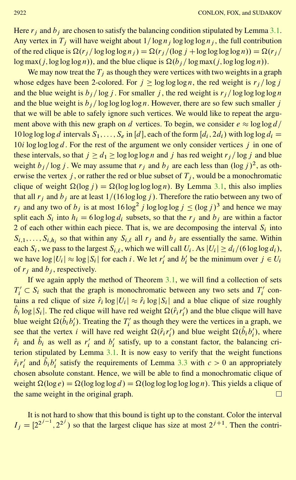Here  $r_i$  and  $b_i$  are chosen to satisfy the balancing condition stipulated by Lemma [3.1.](#page-5-1) Any vertex in  $T_j$  will have weight about  $1/\log n_j \log \log \log n_j$ , the full contribution of the red clique is  $\Omega(r_i / \log \log \log n_i) = \Omega(r_i / (\log j + \log \log \log \log n)) = \Omega(r_i / n_i)$  $\log \max(j, \log \log \log n)$ , and the blue clique is  $\Omega(b_i / \log \max(j, \log \log \log n))$ .

We may now treat the  $T_i$  as though they were vertices with two weights in a graph whose edges have been 2-colored. For  $j \ge \log \log \log n$ , the red weight is  $r_j / \log j$ and the blue weight is  $b_j / \log j$ . For smaller j, the red weight is  $r_j / \log \log \log \log n$ and the blue weight is  $b_j / \log \log \log n$ . However, there are so few such smaller j that we will be able to safely ignore such vertices. We would like to repeat the argument above with this new graph on d vertices. To begin, we consider  $e \approx \log \log d/$ 10 log log log d intervals  $S_1,\ldots,S_e$  in [d], each of the form  $[d_i, 2d_i)$  with log log  $d_i =$ 10i log log log d. For the rest of the argument we only consider vertices j in one of these intervals, so that  $j \ge d_1 \ge \log \log \log n$  and j has red weight  $r_j / \log j$  and blue weight  $b_j / \log j$ . We may assume that  $r_j$  and  $b_j$  are each less than  $(\log j)^2$ , as otherwise the vertex j, or rather the red or blue subset of  $T_i$ , would be a monochromatic clique of weight  $\Omega(\log j) = \Omega(\log \log \log n)$ . By Lemma [3.1,](#page-5-1) this also implies that all  $r_i$  and  $b_i$  are at least  $1/(16 \log \log i)$ . Therefore the ratio between any two of  $r_j$  and any two of  $b_j$  is at most  $16 \log^2 j \log \log \log j \le (\log j)^3$  and hence we may split each  $S_i$  into  $h_i = 6 \log \log d_i$  subsets, so that the  $r_i$  and  $b_i$  are within a factor 2 of each other within each piece. That is, we are decomposing the interval  $S_i$  into  $S_{i,1},\ldots,S_{i,h_i}$  so that within any  $S_{i,\ell}$  all  $r_i$  and  $b_j$  are essentially the same. Within each  $S_i$ , we pass to the largest  $S_{i,\ell}$ , which we will call  $U_i$ . As  $|U_i| \geq d_i/(6 \log \log d_i)$ , we have  $\log |U_i| \approx \log |S_i|$  for each *i*. We let  $r'_i$  and  $b'_i$  be the minimum over  $j \in U_i$ of  $r_i$  and  $b_i$ , respectively.

If we again apply the method of Theorem [3.1,](#page-7-1) we will find a collection of sets  $T_i' \subset S_i$  such that the graph is monochromatic between any two sets and  $T_i'$  contains a red clique of size  $\hat{r}_i \log |U_i| \approx \hat{r}_i \log |S_i|$  and a blue clique of size roughly  $\hat{b}_i$  log |S<sub>i</sub>|. The red clique will have red weight  $\Omega(\hat{r}_i r'_i)$  and the blue clique will have blue weight  $\Omega(\hat{b}_i b'_i)$ . Treating the  $T'_i$  as though they were the vertices in a graph, we see that the vertex *i* will have red weight  $\Omega(\hat{r}_i r'_i)$  and blue weight  $\Omega(\hat{b}_i b'_i)$ , where  $\hat{r}_i$  and  $\hat{b}_i$  as well as  $r'_i$  and  $b'_i$  satisfy, up to a constant factor, the balancing criterion stipulated by Lemma [3.1.](#page-5-1) It is now easy to verify that the weight functions  $\hat{r}_i r'_i$  and  $\hat{b}_i b'_i$  satisfy the requirements of Lemma [3.3](#page-7-0) with  $c > 0$  an appropriately chosen absolute constant. Hence, we will be able to find a monochromatic clique of weight  $\Omega(\log e) = \Omega(\log \log \log d) = \Omega(\log \log \log \log n)$ . This yields a clique of the same weight in the original graph.  $\Box$ 

It is not hard to show that this bound is tight up to the constant. Color the interval  $I_j = [2^{2^{j-1}}, 2^{2^j})$  so that the largest clique has size at most  $2^{j+1}$ . Then the contri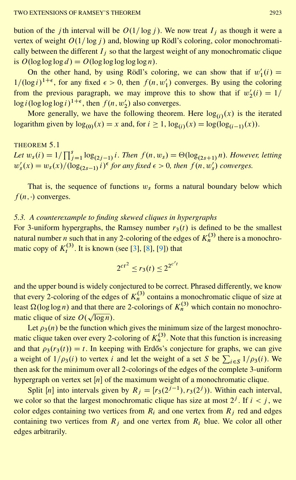<span id="page-20-0"></span>bution of the *j*th interval will be  $O(1/\log j)$ . We now treat  $I_i$  as though it were a vertex of weight  $O(1/\log j)$  and, blowing up Rödl's coloring, color monochromatically between the different  $I_i$  so that the largest weight of any monochromatic clique is  $O(\log \log \log d) = O(\log \log \log \log n)$ .

On the other hand, by using Rödl's coloring, we can show that if  $w'_1(i) =$  $1/(\log i)^{1+\epsilon}$ , for any fixed  $\epsilon > 0$ , then  $f(n, w'_1)$  converges. By using the coloring from the previous paragraph, we may improve this to show that if  $w_2'(i) = 1/$  $\log i(\log \log \log i)^{1+\epsilon}$ , then  $f(n, w_2)$  also converges.

More generally, we have the following theorem. Here  $log_{(i)}(x)$  is the iterated logarithm given by  $log_{(0)}(x) = x$  and, for  $i \ge 1$ ,  $log_{(i)}(x) = log(log_{(i-1)}(x))$ .

# THEOREM 5.1 *Let*  $w_s(i) = 1/\prod_{j=1}^s \log_{(2j-1)} i$ . Then  $f(n, w_s) = \Theta(\log_{(2s+1)} n)$ . However, letting  $w'_s(x) = w_s(x) / (\log_{(2s-1)} i)^{\epsilon}$  for any fixed  $\epsilon > 0$ , then  $f(n, w'_s)$  converges.

That is, the sequence of functions  $w_s$  forms a natural boundary below which  $f(n, \cdot)$  converges.

# *5.3. A counterexample to finding skewed cliques in hypergraphs*

For 3-uniform hypergraphs, the Ramsey number  $r_3(t)$  is defined to be the smallest natural number *n* such that in any 2-coloring of the edges of  $K_n^{(3)}$  there is a monochromatic copy of  $K_t^{(3)}$ . It is known (see [\[3](#page-23-6)], [\[8](#page-23-7)], [\[9](#page-23-8)]) that

$$
2^{ct^2} \le r_3(t) \le 2^{2^{c't}}
$$

and the upper bound is widely conjectured to be correct. Phrased differently, we know that every 2-coloring of the edges of  $K_n^{(3)}$  contains a monochromatic clique of size at least  $\Omega(\log \log n)$  and that there are 2-colorings of  $K_n^{(3)}$  which contain no monochromatic clique of size  $O(\sqrt{\log n})$ .

Let  $\rho_3(n)$  be the function which gives the minimum size of the largest monochromatic clique taken over every 2-coloring of  $K_n^{(3)}$ . Note that this function is increasing and that  $\rho_3(r_3(t)) = t$ . In keeping with Erdős's conjecture for graphs, we can give a weight of  $1/\rho_3(i)$  to vertex i and let the weight of a set S be  $\sum_{i \in S} 1/\rho_3(i)$ . We then ask for the minimum over all 2-colorings of the edges of the complete 3-uniform hypergraph on vertex set  $[n]$  of the maximum weight of a monochromatic clique.

Split [n] into intervals given by  $R_j = [r_3(2^{j-1}), r_3(2^j))$ . Within each interval, we color so that the largest monochromatic clique has size at most  $2^j$ . If  $i < j$ , we color edges containing two vertices from  $R_i$  and one vertex from  $R_j$  red and edges containing two vertices from  $R_i$  and one vertex from  $R_i$  blue. We color all other edges arbitrarily.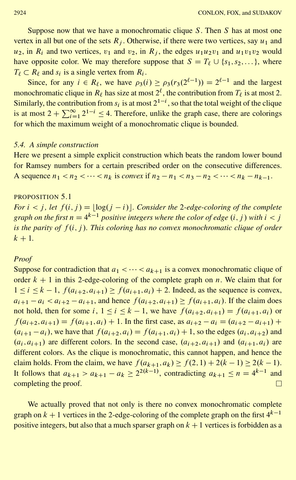Suppose now that we have a monochromatic clique  $S$ . Then  $S$  has at most one vertex in all but one of the sets  $R_j$ . Otherwise, if there were two vertices, say  $u_1$  and  $u_2$ , in  $R_i$  and two vertices,  $v_1$  and  $v_2$ , in  $R_i$ , the edges  $u_1u_2v_1$  and  $u_1v_1v_2$  would have opposite color. We may therefore suppose that  $S = T_{\ell} \cup \{s_1, s_2, \ldots\}$ , where  $T_\ell \subset R_\ell$  and  $s_i$  is a single vertex from  $R_i$ .

Since, for any  $i \in R_\ell$ , we have  $\rho_3(i) \ge \rho_3(r_3(2^{\ell-1})) = 2^{\ell-1}$  and the largest monochromatic clique in  $R_\ell$  has size at most  $2^\ell$ , the contribution from  $T_\ell$  is at most 2. Similarly, the contribution from  $s_i$  is at most  $2^{1-i}$ , so that the total weight of the clique is at most  $2 + \sum_{i=1}^{\infty} 2^{1-i} \le 4$ . Therefore, unlike the graph case, there are colorings for which the maximum weight of a monochromatic clique is bounded.

### *5.4. A simple construction*

Here we present a simple explicit construction which beats the random lower bound for Ramsey numbers for a certain prescribed order on the consecutive differences. A sequence  $n_1 < n_2 < \cdots < n_k$  is *convex* if  $n_2 - n_1 < n_3 - n_2 < \cdots < n_k - n_{k-1}$ .

#### <span id="page-21-0"></span>PROPOSITION 5.1

*For*  $i < j$ , let  $f(i, j) = \lfloor \log(j - i) \rfloor$ . Consider the 2-edge-coloring of the complete graph on the first  $n = 4^{k-1}$  positive integers where the color of edge  $(i,j)$  with  $i < j$ *is the parity of f(i, j). This coloring has no convex monochromatic clique of order*  $k + 1$ .

### *Proof*

Suppose for contradiction that  $a_1 < \cdots < a_{k+1}$  is a convex monochromatic clique of order  $k + 1$  in this 2-edge-coloring of the complete graph on n. We claim that for  $1 \le i \le k - 1$ ,  $f(a_{i+2}, a_{i+1}) \ge f(a_{i+1}, a_i) + 2$ . Indeed, as the sequence is convex,  $a_{i+1} - a_i < a_{i+2} - a_{i+1}$ , and hence  $f(a_{i+2}, a_{i+1}) \ge f(a_{i+1}, a_i)$ . If the claim does not hold, then for some  $i, 1 \le i \le k - 1$ , we have  $f(a_{i+2}, a_{i+1}) = f(a_{i+1}, a_i)$  or  $f(a_{i+2}, a_{i+1}) = f(a_{i+1}, a_i) + 1$ . In the first case, as  $a_{i+2} - a_i = (a_{i+2} - a_{i+1}) +$  $(a_{i+1} - a_i)$ , we have that  $f(a_{i+2}, a_i) = f(a_{i+1}, a_i) + 1$ , so the edges  $(a_i, a_{i+2})$  and  $(a_i, a_{i+1})$  are different colors. In the second case,  $(a_{i+2}, a_{i+1})$  and  $(a_{i+1}, a_i)$  are different colors. As the clique is monochromatic, this cannot happen, and hence the claim holds. From the claim, we have  $f(a_{k+1}, a_k) \ge f(2, 1) + 2(k-1) \ge 2(k-1)$ . It follows that  $a_{k+1} > a_{k+1} - a_k \ge 2^{2(k-1)}$ , contradicting  $a_{k+1} \le n = 4^{k-1}$  and completing the proof.  $\Box$ 

We actually proved that not only is there no convex monochromatic complete graph on  $k + 1$  vertices in the 2-edge-coloring of the complete graph on the first  $4^{k-1}$ positive integers, but also that a much sparser graph on  $k + 1$  vertices is forbidden as a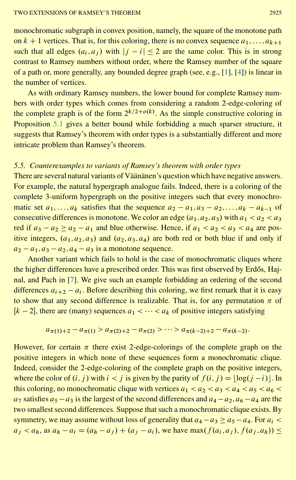<span id="page-22-0"></span>monochromatic subgraph in convex position, namely, the square of the monotone path on  $k + 1$  vertices. That is, for this coloring, there is no convex sequence  $a_1, \ldots, a_{k+1}$ such that all edges  $(a_i, a_j)$  with  $|j - i| \leq 2$  are the same color. This is in strong contrast to Ramsey numbers without order, where the Ramsey number of the square of a path or, more generally, any bounded degree graph (see, e.g., [\[1](#page-23-9)], [\[4](#page-23-10)]) is linear in the number of vertices.

As with ordinary Ramsey numbers, the lower bound for complete Ramsey numbers with order types which comes from considering a random 2-edge-coloring of the complete graph is of the form  $2^{k/2+o(k)}$ . As the simple constructive coloring in Proposition [5.1](#page-21-0) gives a better bound while forbidding a much sparser structure, it suggests that Ramsey's theorem with order types is a substantially different and more intricate problem than Ramsey's theorem.

# *5.5. Counterexamples to variants of Ramsey's theorem with order types*

There are several natural variants of Väänänen's question which have negative answers. For example, the natural hypergraph analogue fails. Indeed, there is a coloring of the complete 3-uniform hypergraph on the positive integers such that every monochromatic set  $a_1, \ldots, a_k$  satisfies that the sequence  $a_2 - a_1, a_3 - a_2, \ldots, a_k - a_{k-1}$  of consecutive differences is monotone. We color an edge  $(a_1, a_2, a_3)$  with  $a_1 < a_2 < a_3$ red if  $a_3 - a_2 \ge a_2 - a_1$  and blue otherwise. Hence, if  $a_1 < a_2 < a_3 < a_4$  are positive integers,  $(a_1, a_2, a_3)$  and  $(a_2, a_3, a_4)$  are both red or both blue if and only if  $a_2 - a_1$ ,  $a_3 - a_2$ ,  $a_4 - a_3$  is a monotone sequence.

Another variant which fails to hold is the case of monochromatic cliques where the higher differences have a prescribed order. This was first observed by Erdős, Hajnal, and Pach in [\[7\]](#page-23-4). We give such an example forbidding an ordering of the second differences  $a_{i+2} - a_i$ . Before describing this coloring, we first remark that it is easy to show that any second difference is realizable. That is, for any permutation  $\pi$  of  $[k-2]$ , there are (many) sequences  $a_1 < \cdots < a_k$  of positive integers satisfying

$$
a_{\pi(1)+2} - a_{\pi(1)} > a_{\pi(2)+2} - a_{\pi(2)} > \cdots > a_{\pi(k-2)+2} - a_{\pi(k-2)}.
$$

However, for certain  $\pi$  there exist 2-edge-colorings of the complete graph on the positive integers in which none of these sequences form a monochromatic clique. Indeed, consider the 2-edge-coloring of the complete graph on the positive integers, where the color of  $(i, j)$  with  $i < j$  is given by the parity of  $f(i, j) = \lfloor \log(j - i) \rfloor$ . In this coloring, no monochromatic clique with vertices  $a_1 < a_2 < a_3 < a_4 < a_5 < a_6 <$  $a_7$  satisfies  $a_5 - a_3$  is the largest of the second differences and  $a_4 - a_2$ ,  $a_6 - a_4$  are the two smallest second differences. Suppose that such a monochromatic clique exists. By symmetry, we may assume without loss of generality that  $a_4 - a_3 \ge a_5 - a_4$ . For  $a_i$  $a_j < a_h$ , as  $a_h - a_i = (a_h - a_j) + (a_j - a_i)$ , we have  $\max(f(a_i, a_j), f(a_j, a_h)) \le$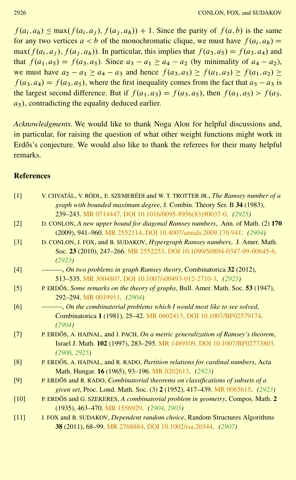$f(a_i, a_h) \leq \max(f(a_i, a_i), f(a_i, a_h)) + 1$ . Since the parity of  $f(a, b)$  is the same for any two vertices  $a < b$  of the monochromatic clique, we must have  $f(a_i, a_h) =$ max( $f(a_i, a_j)$ ,  $f(a_j, a_h)$ ). In particular, this implies that  $f(a_3, a_5) = f(a_3, a_4)$  and that  $f(a_1, a_5) = f(a_3, a_5)$ . Since  $a_3 - a_1 \ge a_4 - a_2$  (by minimality of  $a_4 - a_2$ ), we must have  $a_2 - a_1 \ge a_4 - a_3$  and hence  $f(a_3, a_5) \ge f(a_1, a_3) \ge f(a_1, a_2) \ge$  $f(a_3, a_4) = f(a_3, a_5)$ , where the first inequality comes from the fact that  $a_5 - a_3$  is the largest second difference. But if  $f(a_1, a_3) = f(a_3, a_5)$ , then  $f(a_1, a_5) > f(a_3, a_5)$  $a_5$ ), contradicting the equality deduced earlier.

*Acknowledgments.* We would like to thank Noga Alon for helpful discussions and, in particular, for raising the question of what other weight functions might work in Erdős's conjecture. We would also like to thank the referees for their many helpful remarks.

# **References**

<span id="page-23-10"></span><span id="page-23-9"></span><span id="page-23-8"></span><span id="page-23-7"></span><span id="page-23-6"></span><span id="page-23-5"></span><span id="page-23-4"></span><span id="page-23-3"></span><span id="page-23-2"></span><span id="page-23-1"></span><span id="page-23-0"></span>

| $[1]$             | V. CHVATÁL, V. RÖDL, E. SZEMERÉDI and W. T. TROTTER JR., <i>The Ramsey number of a</i> |
|-------------------|----------------------------------------------------------------------------------------|
|                   | graph with bounded maximum degree, J. Combin. Theory Ser. B 34 (1983),                 |
|                   | 239-243. MR 0714447. DOI 10.1016/0095-8956(83)90037-0. (2925)                          |
| $\lceil 2 \rceil$ | D. CONLON, A new upper bound for diagonal Ramsey numbers, Ann. of Math. (2) 170        |
|                   | (2009), 941-960. MR 2552114. DOI 10.4007/annals.2009.170.941. (2904)                   |
| $\lceil 3 \rceil$ | D. CONLON, J. FOX, and B. SUDAKOV, Hypergraph Ramsey numbers, J. Amer. Math.           |
|                   | Soc. 23 (2010), 247-266. MR 2552253. DOI 10.1090/S0894-0347-09-00645-6.<br>(2923)      |
| $[4]$             | $-$ , On two problems in graph Ramsey theory, Combinatorica 32 (2012),                 |
|                   | 513-535. MR 3004807. DOI 10.1007/s00493-012-2710-3. (2925)                             |
| [5]               | P. ERDŐS, Some remarks on the theory of graphs, Bull. Amer. Math. Soc. 53 (1947),      |
|                   | 292-294. MR 0019911. (2904)                                                            |
| [6]               | -, On the combinatorial problems which I would most like to see solved,                |
|                   | Combinatorica 1 (1981), 25-42. MR 0602413. DOI 10.1007/BF02579174.                     |
|                   | (2904)                                                                                 |
| [7]               | P. ERDŐS, A. HAJNAL, and J. PACH, On a metric generalization of Ramsey's theorem,      |
|                   | Israel J. Math. 102 (1997), 283-295. MR 1489109. DOI 10.1007/BF02773803.               |
|                   | (2906, 2925)                                                                           |
| [8]               | P. ERDŐS, A. HAJNAL, and R. RADO, Partition relations for cardinal numbers, Acta       |
|                   | Math. Hungar. 16 (1965), 93-196. MR 0202613. (2923)                                    |
| [9]               | P. ERDŐS and R. RADO, <i>Combinatorial theorems on classifications of subsets of a</i> |
|                   | given set, Proc. Lond. Math. Soc. (3) 2 (1952), 417-439. MR 0065615. (2923)            |
| $[10]$            | P. ERDŐS and G. SZEKERES, A combinatorial problem in geometry, Compos. Math. 2         |
|                   | $(1935), 463-470. \text{ MR } 1556929. (2904, 2905)$                                   |
| $[11]$            | J. FOX and B. SUDAKOV, Dependent random choice, Random Structures Algorithms           |
|                   | 38 (2011), 68-99. MR 2768884. DOI 10.1002/rsa.20344. (2907)                            |